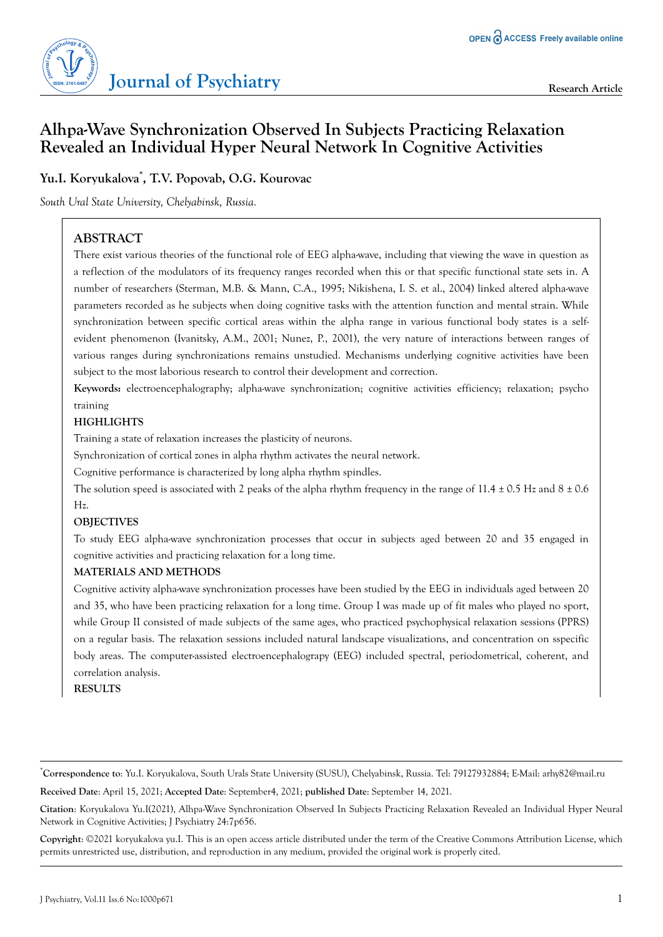

# **Alhpa-Wave Synchronization Observed In Subjects Practicing Relaxation Revealed an Individual Hyper Neural Network In Cognitive Activities**

**Yu.I. Koryukalova\* , T.V. Popovab, O.G. Kourovac**

*South Ural State University, Chelyabinsk, Russia.*

# **ABSTRACT**

There exist various theories of the functional role of EEG alpha-wave, including that viewing the wave in question as a reflection of the modulators of its frequency ranges recorded when this or that specific functional state sets in. A number of researchers (Sterman, M.B. & Mann, C.A., 1995; Nikishena, I. S. et al., 2004) linked altered alpha-wave parameters recorded as he subjects when doing cognitive tasks with the attention function and mental strain. While synchronization between specific cortical areas within the alpha range in various functional body states is a selfevident phenomenon (Ivanitsky, A.M., 2001; Nunez, P., 2001), the very nature of interactions between ranges of various ranges during synchronizations remains unstudied. Mechanisms underlying cognitive activities have been subject to the most laborious research to control their development and correction.

**Keywords:** electroencephalography; alpha-wave synchronization; cognitive activities efficiency; relaxation; psycho training

### **HIGHLIGHTS**

Training a state of relaxation increases the plasticity of neurons.

Synchronization of cortical zones in alpha rhythm activates the neural network.

Cognitive performance is characterized by long alpha rhythm spindles.

The solution speed is associated with 2 peaks of the alpha rhythm frequency in the range of  $11.4 \pm 0.5$  Hz and  $8 \pm 0.6$ Hz.

### **OBJECTIVES**

To study EEG alpha-wave synchronization processes that occur in subjects aged between 20 and 35 engaged in cognitive activities and practicing relaxation for a long time.

### **MATERIALS AND METHODS**

Cognitive activity alpha-wave synchronization processes have been studied by the EEG in individuals aged between 20 and 35, who have been practicing relaxation for a long time. Group I was made up of fit males who played no sport, while Group II consisted of made subjects of the same ages, who practiced psychophysical relaxation sessions (PPRS) on a regular basis. The relaxation sessions included natural landscape visualizations, and concentration on sspecific body areas. The computer-assisted electroencephalograpy (EEG) included spectral, periodometrical, coherent, and correlation analysis.

**RESULTS**

\***Correspondence to**: Yu.I. Koryukalova, South Urals State University (SUSU), Chelyabinsk, Russia. Tel: 79127932884; E-Mail: arhy82@mail.ru

**Received Date**: April 15, 2021; **Accepted Date**: September4, 2021; **published Date**: September 14, 2021.

**Citation**: Koryukalova Yu.I(2021), Alhpa-Wave Synchronization Observed In Subjects Practicing Relaxation Revealed an Individual Hyper Neural Network in Cognitive Activities; J Psychiatry 24:7p656.

**Copyright**: ©2021 koryukalova yu.I. This is an open access article distributed under the term of the Creative Commons Attribution License, which permits unrestricted use, distribution, and reproduction in any medium, provided the original work is properly cited.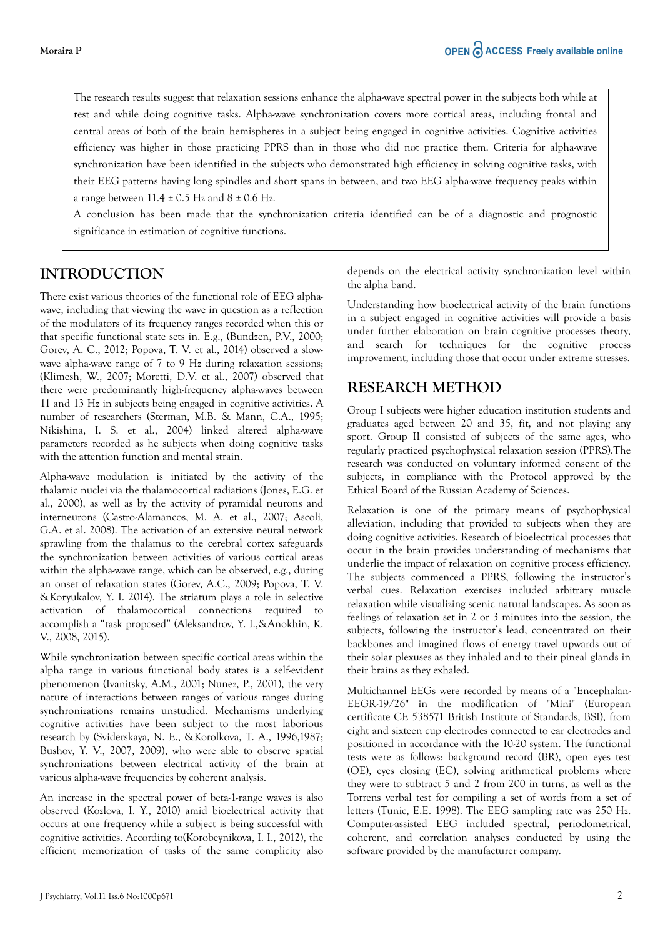The research results suggest that relaxation sessions enhance the alpha-wave spectral power in the subjects both while at rest and while doing cognitive tasks. Alpha-wave synchronization covers more cortical areas, including frontal and central areas of both of the brain hemispheres in a subject being engaged in cognitive activities. Cognitive activities efficiency was higher in those practicing PPRS than in those who did not practice them. Criteria for alpha-wave synchronization have been identified in the subjects who demonstrated high efficiency in solving cognitive tasks, with their EEG patterns having long spindles and short spans in between, and two EEG alpha-wave frequency peaks within a range between  $11.4 \pm 0.5$  Hz and  $8 \pm 0.6$  Hz.

A conclusion has been made that the synchronization criteria identified can be of a diagnostic and prognostic significance in estimation of cognitive functions.

# **INTRODUCTION**

There exist various theories of the functional role of EEG alphawave, including that viewing the wave in question as a reflection of the modulators of its frequency ranges recorded when this or that specific functional state sets in. E.g., (Bundzen, P.V., 2000; Gorev, A. C., 2012; Popova, T. V. et al., 2014) observed a slowwave alpha-wave range of 7 to 9 Hz during relaxation sessions; (Klimesh, W., 2007; Moretti, D.V. et al., 2007) observed that there were predominantly high-frequency alpha-waves between 11 and 13 Hz in subjects being engaged in cognitive activities. A number of researchers (Sterman, M.B. & Mann, C.A., 1995; Nikishina, I. S. et al., 2004) linked altered alpha-wave parameters recorded as he subjects when doing cognitive tasks with the attention function and mental strain.

Alpha-wave modulation is initiated by the activity of the thalamic nuclei via the thalamocortical radiations (Jones, E.G. et al., 2000), as well as by the activity of pyramidal neurons and interneurons (Castro-Alamancos, M. A. et al., 2007; Ascoli, G.A. et al. 2008). The activation of an extensive neural network sprawling from the thalamus to the cerebral cortex safeguards the synchronization between activities of various cortical areas within the alpha-wave range, which can be observed, e.g., during an onset of relaxation states (Gorev, A.C., 2009; Popova, T. V. &Koryukalov, Y. I. 2014). The striatum plays a role in selective activation of thalamocortical connections required to accomplish a "task proposed" (Aleksandrov, Y. I.,&Anokhin, K. V., 2008, 2015).

While synchronization between specific cortical areas within the alpha range in various functional body states is a self-evident phenomenon (Ivanitsky, A.M., 2001; Nunez, P., 2001), the very nature of interactions between ranges of various ranges during synchronizations remains unstudied. Mechanisms underlying cognitive activities have been subject to the most laborious research by (Sviderskaya, N. E., &Korolkova, T. A., 1996,1987; Bushov, Y. V., 2007, 2009), who were able to observe spatial synchronizations between electrical activity of the brain at various alpha-wave frequencies by coherent analysis.

An increase in the spectral power of beta-1-range waves is also observed (Kozlova, I. Y., 2010) amid bioelectrical activity that occurs at one frequency while a subject is being successful with cognitive activities. According to(Korobeynikova, I. I., 2012), the efficient memorization of tasks of the same complicity also depends on the electrical activity synchronization level within the alpha band.

Understanding how bioelectrical activity of the brain functions in a subject engaged in cognitive activities will provide a basis under further elaboration on brain cognitive processes theory, and search for techniques for the cognitive process improvement, including those that occur under extreme stresses.

# **RESEARCH METHOD**

Group I subjects were higher education institution students and graduates aged between 20 and 35, fit, and not playing any sport. Group II consisted of subjects of the same ages, who regularly practiced psychophysical relaxation session (PPRS).The research was conducted on voluntary informed consent of the subjects, in compliance with the Protocol approved by the Ethical Board of the Russian Academy of Sciences.

Relaxation is one of the primary means of psychophysical alleviation, including that provided to subjects when they are doing cognitive activities. Research of bioelectrical processes that occur in the brain provides understanding of mechanisms that underlie the impact of relaxation on cognitive process efficiency. The subjects commenced a PPRS, following the instructor's verbal cues. Relaxation exercises included arbitrary muscle relaxation while visualizing scenic natural landscapes. As soon as feelings of relaxation set in 2 or 3 minutes into the session, the subjects, following the instructor's lead, concentrated on their backbones and imagined flows of energy travel upwards out of their solar plexuses as they inhaled and to their pineal glands in their brains as they exhaled.

Multichannel EEGs were recorded by means of a "Encephalan-EEGR-19/26" in the modification of "Mini" (European certificate CE 538571 British Institute of Standards, BSI), from eight and sixteen cup electrodes connected to ear electrodes and positioned in accordance with the 10-20 system. The functional tests were as follows: background record (BR), open eyes test (OE), eyes closing (EC), solving arithmetical problems where they were to subtract 5 and 2 from 200 in turns, as well as the Torrens verbal test for compiling a set of words from a set of letters (Tunic, E.E. 1998). The EEG sampling rate was 250 Hz. Computer-assisted EEG included spectral, periodometrical, coherent, and correlation analyses conducted by using the software provided by the manufacturer company.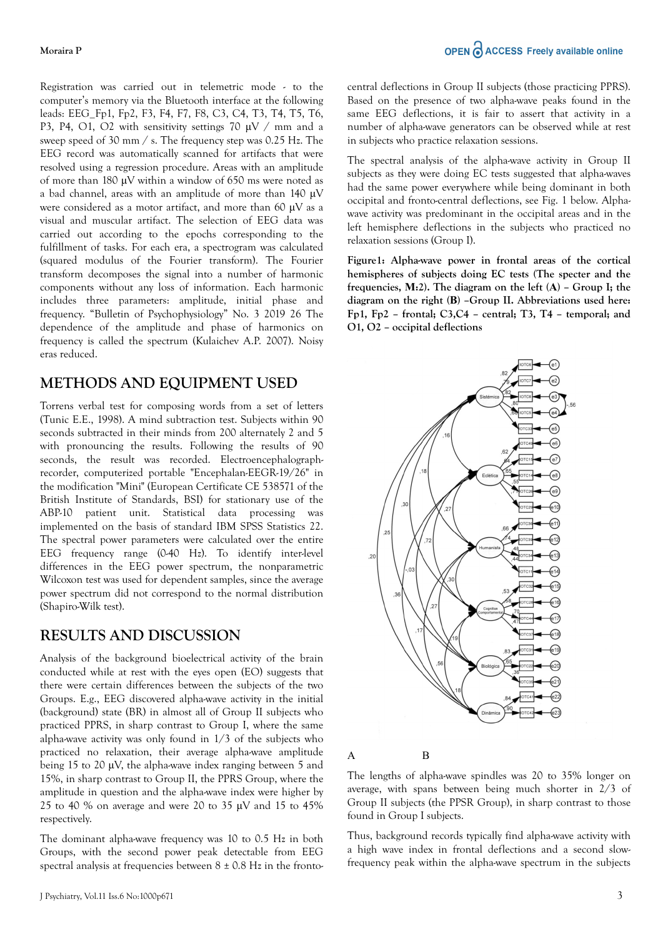Registration was carried out in telemetric mode - to the computer's memory via the Bluetooth interface at the following leads: EEG\_Fp1, Fp2, F3, F4, F7, F8, C3, C4, T3, T4, T5, T6, P3, P4, O1, O2 with sensitivity settings 70  $\mu$ V / mm and a sweep speed of 30 mm / s. The frequency step was 0.25 Hz. The EEG record was automatically scanned for artifacts that were resolved using a regression procedure. Areas with an amplitude of more than 180 μV within a window of 650 ms were noted as a bad channel, areas with an amplitude of more than 140 μV were considered as a motor artifact, and more than 60 μV as a visual and muscular artifact. The selection of EEG data was carried out according to the epochs corresponding to the fulfillment of tasks. For each era, a spectrogram was calculated (squared modulus of the Fourier transform). The Fourier transform decomposes the signal into a number of harmonic components without any loss of information. Each harmonic includes three parameters: amplitude, initial phase and frequency. "Bulletin of Psychophysiology" No. 3 2019 26 The dependence of the amplitude and phase of harmonics on frequency is called the spectrum (Kulaichev A.P. 2007). Noisy eras reduced.

## **METHODS AND EQUIPMENT USED**

Torrens verbal test for composing words from a set of letters (Tunic E.E., 1998). A mind subtraction test. Subjects within 90 seconds subtracted in their minds from 200 alternately 2 and 5 with pronouncing the results. Following the results of 90 seconds, the result was recorded. Electroencephalographrecorder, computerized portable "Encephalan-EEGR-19/26" in the modification "Mini" (European Certificate CE 538571 of the British Institute of Standards, BSI) for stationary use of the ABP-10 patient unit. Statistical data processing was implemented on the basis of standard IBM SPSS Statistics 22. The spectral power parameters were calculated over the entire EEG frequency range (0-40 Hz). To identify inter-level differences in the EEG power spectrum, the nonparametric Wilcoxon test was used for dependent samples, since the average power spectrum did not correspond to the normal distribution (Shapiro-Wilk test).

## **RESULTS AND DISCUSSION**

Analysis of the background bioelectrical activity of the brain conducted while at rest with the eyes open (EO) suggests that there were certain differences between the subjects of the two Groups. E.g., EEG discovered alpha-wave activity in the initial (background) state (BR) in almost all of Group II subjects who practiced PPRS, in sharp contrast to Group I, where the same alpha-wave activity was only found in 1/3 of the subjects who practiced no relaxation, their average alpha-wave amplitude being 15 to 20 μV, the alpha-wave index ranging between 5 and 15%, in sharp contrast to Group II, the PPRS Group, where the amplitude in question and the alpha-wave index were higher by 25 to 40 % on average and were 20 to 35  $\mu$ V and 15 to 45% respectively.

The dominant alpha-wave frequency was 10 to 0.5 Hz in both Groups, with the second power peak detectable from EEG spectral analysis at frequencies between  $8 \pm 0.8$  Hz in the frontocentral deflections in Group II subjects (those practicing PPRS). Based on the presence of two alpha-wave peaks found in the same EEG deflections, it is fair to assert that activity in a number of alpha-wave generators can be observed while at rest in subjects who practice relaxation sessions.

The spectral analysis of the alpha-wave activity in Group II subjects as they were doing EC tests suggested that alpha-waves had the same power everywhere while being dominant in both occipital and fronto-central deflections, see Fig. 1 below. Alphawave activity was predominant in the occipital areas and in the left hemisphere deflections in the subjects who practiced no relaxation sessions (Group I).

**Figure1: Alpha-wave power in frontal areas of the cortical hemispheres of subjects doing EC tests (The specter and the frequencies, М:2). The diagram on the left (А) – Group I; the diagram on the right (В) –Group II. Abbreviations used here: Fp1, Fp2 – frontal; C3,C4 – central; T3, T4 – temporal; and O1, O2 – occipital deflections**



#### А В

The lengths of alpha-wave spindles was 20 to 35% longer on average, with spans between being much shorter in 2/3 of Group II subjects (the PPSR Group), in sharp contrast to those found in Group I subjects.

Thus, background records typically find alpha-wave activity with a high wave index in frontal deflections and a second slowfrequency peak within the alpha-wave spectrum in the subjects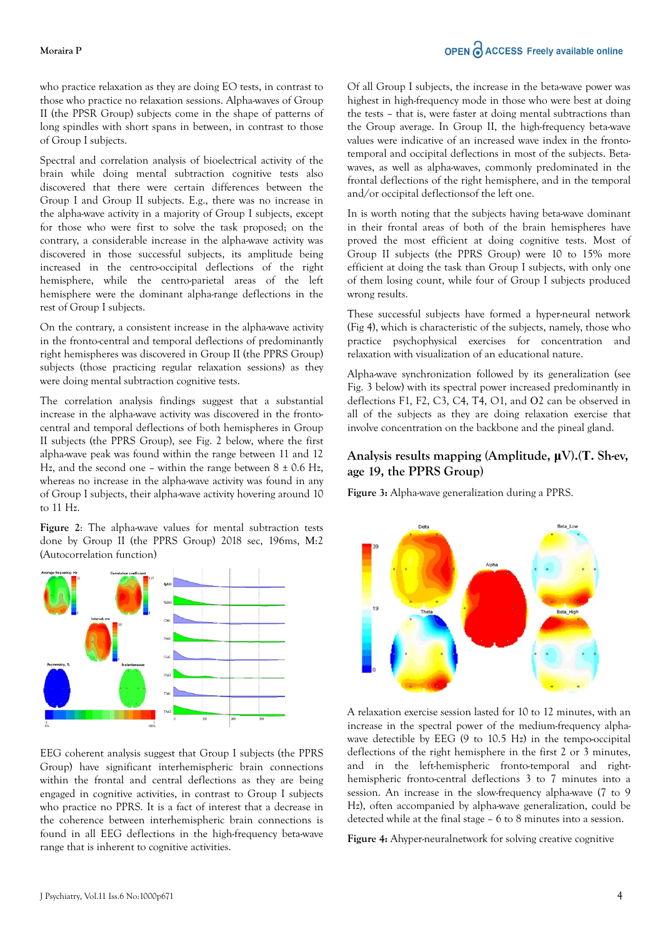#### **Moraira P**

who practice relaxation as they are doing EO tests, in contrast to those who practice no relaxation sessions. Alpha-waves of Group II (the PPSR Group) subjects come in the shape of patterns of long spindles with short spans in between, in contrast to those of Group I subjects.

Spectral and correlation analysis of bioelectrical activity of the brain while doing mental subtraction cognitive tests also discovered that there were certain differences between the Group I and Group II subjects. E.g., there was no increase in the alpha-wave activity in a majority of Group I subjects, except for those who were first to solve the task proposed; on the contrary, a considerable increase in the alpha-wave activity was discovered in those successful subjects, its amplitude being increased in the centro-occipital deflections of the right hemisphere, while the centro-parietal areas of the left hemisphere were the dominant alpha-range deflections in the rest of Group I subjects.

On the contrary, a consistent increase in the alpha-wave activity in the fronto-central and temporal deflections of predominantly right hemispheres was discovered in Group II (the PPRS Group) subjects (those practicing regular relaxation sessions) as they were doing mental subtraction cognitive tests.

The correlation analysis findings suggest that a substantial increase in the alpha-wave activity was discovered in the frontocentral and temporal deflections of both hemispheres in Group II subjects (the PPRS Group), see Fig. 2 below, where the first alpha-wave peak was found within the range between 11 and 12 Hz, and the second one – within the range between  $8 \pm 0.6$  Hz, whereas no increase in the alpha-wave activity was found in any of Group I subjects, their alpha-wave activity hovering around 10 to 11 Hz.

**Figure 2**: The alpha-wave values for mental subtraction tests done by Group II (the PPRS Group) 2018 sec, 196ms, М:2 (Autocorrelation function)



EEG coherent analysis suggest that Group I subjects (the PPRS Group) have significant interhemispheric brain connections within the frontal and central deflections as they are being engaged in cognitive activities, in contrast to Group I subjects who practice no PPRS. It is a fact of interest that a decrease in the coherence between interhemispheric brain connections is found in all EEG deflections in the high-frequency beta-wave range that is inherent to cognitive activities.

Of all Group I subjects, the increase in the beta-wave power was highest in high-frequency mode in those who were best at doing the tests – that is, were faster at doing mental subtractions than the Group average. In Group II, the high-frequency beta-wave values were indicative of an increased wave index in the frontotemporal and occipital deflections in most of the subjects. Betawaves, as well as alpha-waves, commonly predominated in the frontal deflections of the right hemisphere, and in the temporal and/or occipital deflectionsof the left one.

In is worth noting that the subjects having beta-wave dominant in their frontal areas of both of the brain hemispheres have proved the most efficient at doing cognitive tests. Most of Group II subjects (the PPRS Group) were 10 to 15% more efficient at doing the task than Group I subjects, with only one of them losing count, while four of Group I subjects produced wrong results.

These successful subjects have formed a hyper-neural network (Fig 4), which is characteristic of the subjects, namely, those who practice psychophysical exercises for concentration and relaxation with visualization of an educational nature.

Alpha-wave synchronization followed by its generalization (see Fig. 3 below) with its spectral power increased predominantly in deflections F1, F2, C3, C4, T4, O1, and О2 can be observed in all of the subjects as they are doing relaxation exercise that involve concentration on the backbone and the pineal gland.

### **Analysis results mapping (Amplitude, μV).(Т. Sh-ev, age 19, the PPRS Group)**

**Figure 3:** Alpha-wave generalization during a PPRS.



A relaxation exercise session lasted for 10 to 12 minutes, with an increase in the spectral power of the medium-frequency alphawave detectible by EEG (9 to 10.5 Hz) in the tempo-occipital deflections of the right hemisphere in the first 2 or 3 minutes, and in the left-hemispheric fronto-temporal and righthemispheric fronto-central deflections 3 to 7 minutes into a session. An increase in the slow-frequency alpha-wave (7 to 9 Hz), often accompanied by alpha-wave generalization, could be detected while at the final stage – 6 to 8 minutes into a session.

**Figure 4:** Ahyper-neuralnetwork for solving creative cognitive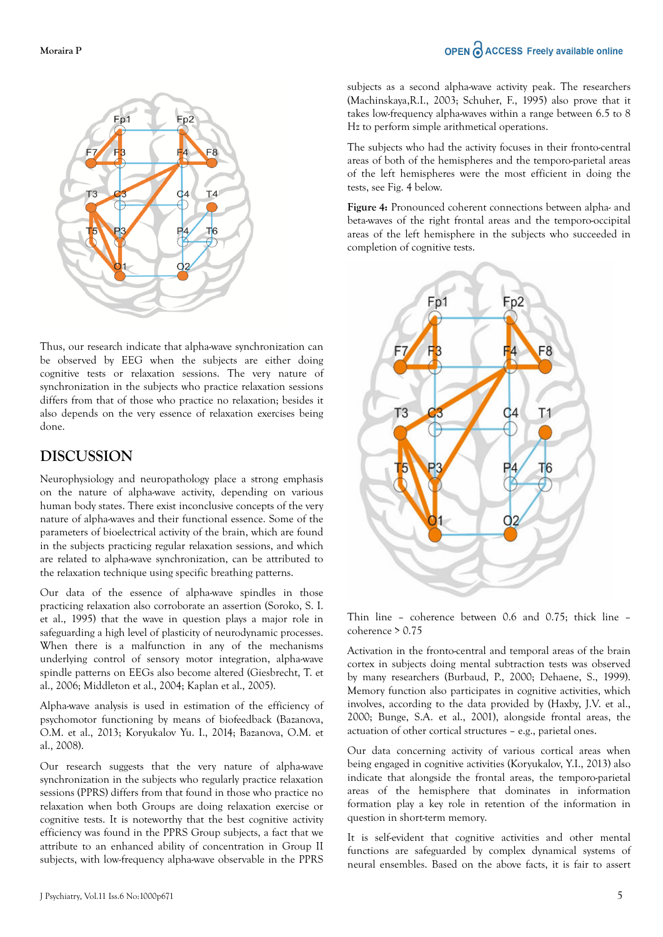### OPEN C ACCESS Freely available online



Thus, our research indicate that alpha-wave synchronization can be observed by EEG when the subjects are either doing cognitive tests or relaxation sessions. The very nature of synchronization in the subjects who practice relaxation sessions differs from that of those who practice no relaxation; besides it also depends on the very essence of relaxation exercises being done.

## **DISCUSSION**

Neurophysiology and neuropathology place a strong emphasis on the nature of alpha-wave activity, depending on various human body states. There exist inconclusive concepts of the very nature of alpha-waves and their functional essence. Some of the parameters of bioelectrical activity of the brain, which are found in the subjects practicing regular relaxation sessions, and which are related to alpha-wave synchronization, can be attributed to the relaxation technique using specific breathing patterns.

Our data of the essence of alpha-wave spindles in those practicing relaxation also corroborate an assertion (Soroko, S. I. et al., 1995) that the wave in question plays a major role in safeguarding a high level of plasticity of neurodynamic processes. When there is a malfunction in any of the mechanisms underlying control of sensory motor integration, alpha-wave spindle patterns on EEGs also become altered (Giesbrecht, T. et al., 2006; Middleton et al., 2004; Kaplan et al., 2005).

Alpha-wave analysis is used in estimation of the efficiency of psychomotor functioning by means of biofeedback (Bazanova, O.M. et al., 2013; Koryukalov Yu. I., 2014; Bazanova, O.M. et al., 2008).

Our research suggests that the very nature of alpha-wave synchronization in the subjects who regularly practice relaxation sessions (PPRS) differs from that found in those who practice no relaxation when both Groups are doing relaxation exercise or cognitive tests. It is noteworthy that the best cognitive activity efficiency was found in the PPRS Group subjects, a fact that we attribute to an enhanced ability of concentration in Group II subjects, with low-frequency alpha-wave observable in the PPRS subjects as a second alpha-wave activity peak. The researchers (Machinskaya,R.I., 2003; Schuher, F., 1995) also prove that it takes low-frequency alpha-waves within a range between 6.5 to 8 Hz to perform simple arithmetical operations.

The subjects who had the activity focuses in their fronto-central areas of both of the hemispheres and the temporo-parietal areas of the left hemispheres were the most efficient in doing the tests, see Fig. 4 below.

**Figure 4:** Pronounced coherent connections between alpha- and beta-waves of the right frontal areas and the temporo-occipital areas of the left hemisphere in the subjects who succeeded in completion of cognitive tests.



Thin line – coherence between 0.6 and 0.75; thick line – coherence > 0.75

Activation in the fronto-central and temporal areas of the brain cortex in subjects doing mental subtraction tests was observed by many researchers (Burbaud, P., 2000; Dehaene, S., 1999). Memory function also participates in cognitive activities, which involves, according to the data provided by (Haxby, J.V. et al., 2000; Bunge, S.A. et al., 2001), alongside frontal areas, the actuation of other cortical structures – e.g., parietal ones.

Our data concerning activity of various cortical areas when being engaged in cognitive activities (Koryukalov, Y.I., 2013) also indicate that alongside the frontal areas, the temporo-parietal areas of the hemisphere that dominates in information formation play a key role in retention of the information in question in short-term memory.

It is self-evident that cognitive activities and other mental functions are safeguarded by complex dynamical systems of neural ensembles. Based on the above facts, it is fair to assert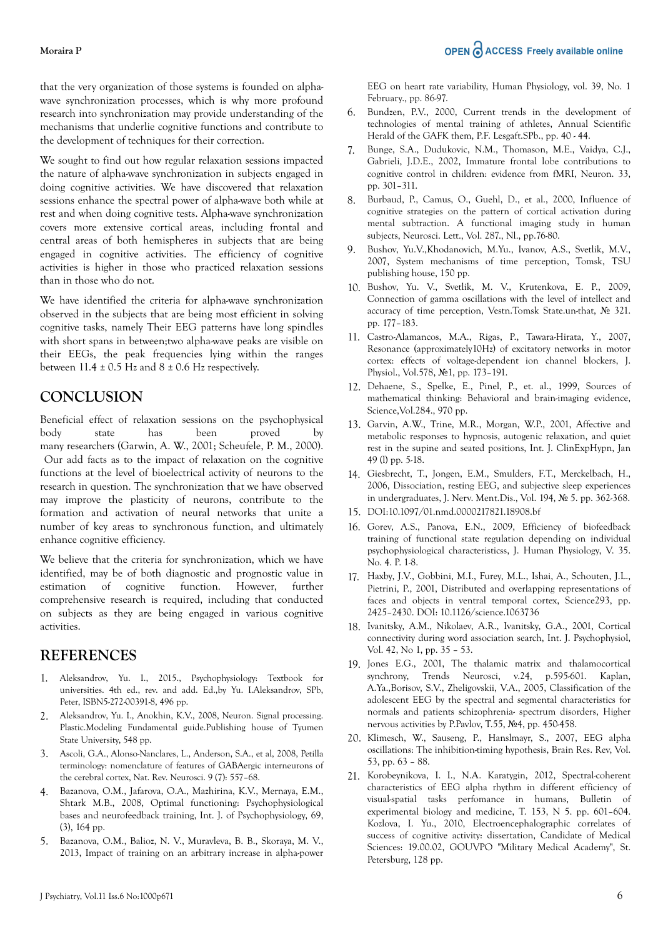#### **Moraira P**

that the very organization of those systems is founded on alphawave synchronization processes, which is why more profound research into synchronization may provide understanding of the mechanisms that underlie cognitive functions and contribute to the development of techniques for their correction.

We sought to find out how regular relaxation sessions impacted the nature of alpha-wave synchronization in subjects engaged in doing cognitive activities. We have discovered that relaxation sessions enhance the spectral power of alpha-wave both while at rest and when doing cognitive tests. Alpha-wave synchronization covers more extensive cortical areas, including frontal and central areas of both hemispheres in subjects that are being engaged in cognitive activities. The efficiency of cognitive activities is higher in those who practiced relaxation sessions than in those who do not.

We have identified the criteria for alpha-wave synchronization observed in the subjects that are being most efficient in solving cognitive tasks, namely Their EEG patterns have long spindles with short spans in between;two alpha-wave peaks are visible on their EEGs, the peak frequencies lying within the ranges between  $11.4 \pm 0.5$  Hz and  $8 \pm 0.6$  Hz respectively.

## **CONCLUSION**

Beneficial effect of relaxation sessions on the psychophysical body state has been proved by many researchers (Garwin, A. W., 2001; Scheufele, P. M., 2000). Our add facts as to the impact of relaxation on the cognitive functions at the level of bioelectrical activity of neurons to the research in question. The synchronization that we have observed may improve the plasticity of neurons, contribute to the formation and activation of neural networks that unite a number of key areas to synchronous function, and ultimately enhance cognitive efficiency.

We believe that the criteria for synchronization, which we have identified, may be of both diagnostic and prognostic value in estimation of cognitive function. However, further comprehensive research is required, including that conducted on subjects as they are being engaged in various cognitive activities.

## **REFERENCES**

- 1. [Aleksandrov, Yu. I., 2015., Psychophysiology: Textbook for](https://scholar.google.com/scholar?hl=en&as_sdt=0%2C5&q=Aleksandrov%2C+Yu.+I.%2C+2015.%2C+Psychophysiology%3A+Textbook+for+universities.+4th+ed.%2C+rev.+and+add.+Ed.%2Cby+Yu.+I.Aleksandrov%2C+SPb%2C+Peter%2C+ISBN5-272-00391-8%2C+496+pp.&btnG=) [universities. 4th ed., rev. and add. Ed.,by Yu. I.Aleksandrov, SPb,](https://scholar.google.com/scholar?hl=en&as_sdt=0%2C5&q=Aleksandrov%2C+Yu.+I.%2C+2015.%2C+Psychophysiology%3A+Textbook+for+universities.+4th+ed.%2C+rev.+and+add.+Ed.%2Cby+Yu.+I.Aleksandrov%2C+SPb%2C+Peter%2C+ISBN5-272-00391-8%2C+496+pp.&btnG=) [Peter, ISBN5-272-00391-8, 496 pp.](https://scholar.google.com/scholar?hl=en&as_sdt=0%2C5&q=Aleksandrov%2C+Yu.+I.%2C+2015.%2C+Psychophysiology%3A+Textbook+for+universities.+4th+ed.%2C+rev.+and+add.+Ed.%2Cby+Yu.+I.Aleksandrov%2C+SPb%2C+Peter%2C+ISBN5-272-00391-8%2C+496+pp.&btnG=)
- 2. [Aleksandrov, Yu. I., Anokhin, K.V., 2008, Neuron. Signal processing.](https://scholar.google.com/scholar?hl=en&as_sdt=0%2C5&q=Aleksandrov%2C+Yu.+I.%2C+Anokhin%2C+K.V.%2C+2008%2C+Neuron.+Signal+processing.+Plastic.Modeling+Fundamental+guide.Publishing+house+of+Tyumen+State+University%2C+548+pp.&btnG=) [Plastic.Modeling Fundamental guide.Publishing house of Tyumen](https://scholar.google.com/scholar?hl=en&as_sdt=0%2C5&q=Aleksandrov%2C+Yu.+I.%2C+Anokhin%2C+K.V.%2C+2008%2C+Neuron.+Signal+processing.+Plastic.Modeling+Fundamental+guide.Publishing+house+of+Tyumen+State+University%2C+548+pp.&btnG=) [State University, 548 pp.](https://scholar.google.com/scholar?hl=en&as_sdt=0%2C5&q=Aleksandrov%2C+Yu.+I.%2C+Anokhin%2C+K.V.%2C+2008%2C+Neuron.+Signal+processing.+Plastic.Modeling+Fundamental+guide.Publishing+house+of+Tyumen+State+University%2C+548+pp.&btnG=)
- 3. [Ascoli, G.A., Alonso-Nanclares, L., Anderson, S.A., et al, 2008, Petilla](https://scholar.google.com/scholar?hl=en&as_sdt=0%2C5&q=Ascoli%2C+G.A.%2C+Alonso-Nanclares%2C+L.%2C+Anderson%2C+S.A.%2C+et+al%2C+2008%2C+Petilla+terminology%3A+nomenclature+of+features+of+GABAergic+interneurons+of+the+cerebral+cortex%2C+Nat.+Rev.+Neurosci.+9+%287%29%3A+557%E2%80%9368.+&btnG=) [terminology: nomenclature of features of GABAergic interneurons of](https://scholar.google.com/scholar?hl=en&as_sdt=0%2C5&q=Ascoli%2C+G.A.%2C+Alonso-Nanclares%2C+L.%2C+Anderson%2C+S.A.%2C+et+al%2C+2008%2C+Petilla+terminology%3A+nomenclature+of+features+of+GABAergic+interneurons+of+the+cerebral+cortex%2C+Nat.+Rev.+Neurosci.+9+%287%29%3A+557%E2%80%9368.+&btnG=) [the cerebral cortex, Nat. Rev. Neurosci. 9 \(7\): 557–68.](https://scholar.google.com/scholar?hl=en&as_sdt=0%2C5&q=Ascoli%2C+G.A.%2C+Alonso-Nanclares%2C+L.%2C+Anderson%2C+S.A.%2C+et+al%2C+2008%2C+Petilla+terminology%3A+nomenclature+of+features+of+GABAergic+interneurons+of+the+cerebral+cortex%2C+Nat.+Rev.+Neurosci.+9+%287%29%3A+557%E2%80%9368.+&btnG=)
- 4. Bazanova, O.M., Jafarova, O.A., Mazhirina, K.V., Mernaya, E.M., Shtark M.B., 2008, Optimal functioning: Psychophysiological bases and neurofeedback training, Int. J. of Psychophysiology, 69, (3), 164 pp.
- 5. Bazanova, O.M., Balioz, N. V., Muravleva, B. B., Skoraya, M. V., 2013, Impact of training on an arbitrary increase in alpha-power

EEG on heart rate variability, Human Physiology, vol. 39, No. 1 February., pp. 86-97.

- 6. Bundzen, P.V., 2000, Current trends in the development of technologies of mental training of athletes, Annual Scientific Herald of the GAFK them, P.F. Lesgaft.SPb., pp. 40 - 44.
- 7. Bunge, S.A., Dudukovic, N.M., Thomason, M.E., Vaidya, C.J., Gabrieli, J.D.E., 2002, Immature frontal lobe contributions to cognitive control in children: evidence from fMRI, Neuron. 33, pp. 301–311.
- 8. Burbaud, P., Camus, O., Guehl, D., et al., 2000, Influence of cognitive strategies on the pattern of cortical activation during mental subtraction. A functional imaging study in human subjects, Neurosci. Lett., Vol. 287., Nl., pp.76-80.
- 9. Bushov, Yu.V.,Khodanovich, M.Yu., Ivanov, A.S., Svetlik, M.V., 2007, System mechanisms of time perception, Tomsk, TSU publishing house, 150 pp.
- 10. Bushov, Yu. V., Svetlik, M. V., Krutenkova, E. P., 2009, Connection of gamma oscillations with the level of intellect and accuracy of time perception, Vestn.Tomsk State.un-that, № 321. pp. 177–183.
- 11. Castro-Alamancos, M.A., Rigas, P., Tawara-Hirata, Y., 2007, Resonance (approximately10Hz) of excitatory networks in motor cortex: effects of voltage-dependent ion channel blockers, J. Physiol., Vol.578, №1, pp. 173–191.
- 12. Dehaene, S., Spelke, E., Pinel, P., et. al., 1999, Sources of mathematical thinking: Behavioral and brain-imaging evidence, Science,Vol.284., 970 pp.
- 13. Garvin, A.W., Trine, M.R., Morgan, W.P., 2001, Affective and metabolic responses to hypnosis, autogenic relaxation, and quiet rest in the supine and seated positions, Int. J. ClinExpHypn, Jan 49 (l) pp. 5-18.
- 14. Giesbrecht, T., Jongen, E.M., Smulders, F.T., Merckelbach, H., 2006, Dissociation, resting EEG, and subjective sleep experiences in undergraduates, J. Nerv. Ment.Dis., Vol. 194, № 5. pp. 362-368.
- 15. DOI:10.1097/01.nmd.0000217821.18908.bf
- 16. Gorev, A.S., Panova, E.N., 2009, Efficiency of biofeedback training of functional state regulation depending on individual psychophysiological characteristicss, J. Human Physiology, V. 35. No. 4. P. 1-8.
- 17. Haxby, J.V., Gobbini, M.I., Furey, M.L., Ishai, A., Schouten, J.L., Pietrini, P., 2001, Distributed and overlapping representations of faces and objects in ventral temporal cortex, Science293, pp. 2425–2430. DOI: 10.1126/science.1063736
- 18. Ivanitsky, A.M., Nikolaev, A.R., Ivanitsky, G.A., 2001, Cortical connectivity during word association search, Int. J. Psychophysiol, Vol. 42, No 1, pp. 35 – 53.
- 19. Jones E.G., 2001, The thalamic matrix and thalamocortical synchrony, Trends Neurosci, v.24, p.595-601. Kaplan, A.Ya.,Borisov, S.V., Zheligovskii, V.A., 2005, Classification of the adolescent EEG by the spectral and segmental characteristics for normals and patients schizophrenia- spectrum disorders, Higher nervous activities by P.Pavlov, T.55, №4, pp. 450-458.
- 20. Klimesch, W., Sauseng, P., Hanslmayr, S., 2007, EEG alpha oscillations: The inhibition-timing hypothesis, Brain Res. Rev, Vol. 53, pp. 63 – 88.
- 21. Korobeynikova, I. I., N.А. Karatygin, 2012, Spectral-coherent characteristics of EEG alpha rhythm in different efficiency of visual-spatial tasks perfomance in humans, Bulletin of experimental biology and medicine, T. 153, N 5. pp. 601–604. Kozlova, I. Yu., 2010, Electroencephalographic correlates of success of cognitive activity: dissertation, Candidate of Medical Sciences: 19.00.02, GOUVPO "Military Medical Academy", St. Petersburg, 128 pp.